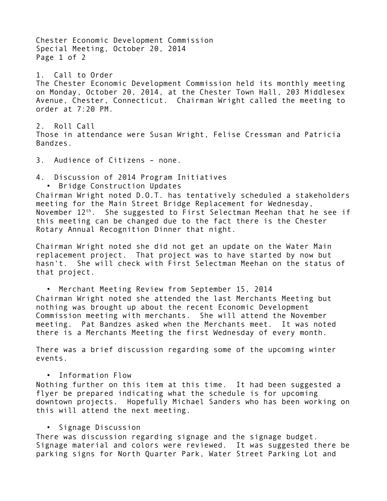Chester Economic Development Commission Special Meeting, October 20, 2014 Page 1 of 2 1. Call to Order The Chester Economic Development Commission held its monthly meeting on Monday, October 20, 2014, at the Chester Town Hall, 203 Middlesex Avenue, Chester, Connecticut. Chairman Wright called the meeting to order at 7:20 PM. 2. Roll Call Those in attendance were Susan Wright, Felise Cressman and Patricia Bandzes. 3. Audience of Citizens – none. 4. Discussion of 2014 Program Initiatives • Bridge Construction Updates Chairman Wright noted D.O.T. has tentatively scheduled a stakeholders meeting for the Main Street Bridge Replacement for Wednesday, November  $12^{th}$ . She suggested to First Selectman Meehan that he see if this meeting can be changed due to the fact there is the Chester Rotary Annual Recognition Dinner that night. Chairman Wright noted she did not get an update on the Water Main replacement project. That project was to have started by now but hasn't. She will check with First Selectman Meehan on the status of that project. • Merchant Meeting Review from September 15, 2014 Chairman Wright noted she attended the last Merchants Meeting but nothing was brought up about the recent Economic Development Commission meeting with merchants. She will attend the November meeting. Pat Bandzes asked when the Merchants meet. It was noted there is a Merchants Meeting the first Wednesday of every month. There was a brief discussion regarding some of the upcoming winter events. • Information Flow Nothing further on this item at this time. It had been suggested a flyer be prepared indicating what the schedule is for upcoming downtown projects. Hopefully Michael Sanders who has been working on

## • Signage Discussion

this will attend the next meeting.

There was discussion regarding signage and the signage budget. Signage material and colors were reviewed. It was suggested there be parking signs for North Quarter Park, Water Street Parking Lot and